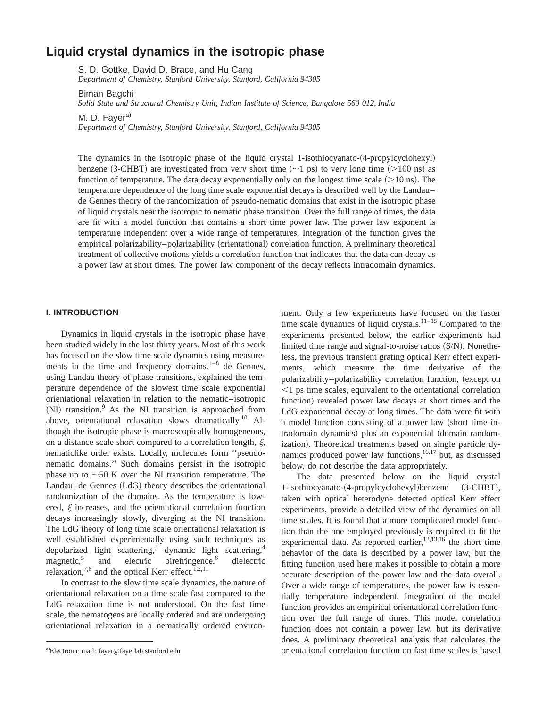# **Liquid crystal dynamics in the isotropic phase**

S. D. Gottke, David D. Brace, and Hu Cang

*Department of Chemistry, Stanford University, Stanford, California 94305*

Biman Bagchi

*Solid State and Structural Chemistry Unit, Indian Institute of Science, Bangalore 560 012, India*

M. D. Faver<sup>a)</sup>

*Department of Chemistry, Stanford University, Stanford, California 94305*

The dynamics in the isotropic phase of the liquid crystal 1-isothiocyanato- $(4$ -propylcyclohexyl) benzene (3-CHBT) are investigated from very short time  $({\sim}1 \text{ ps})$  to very long time  $({>}100 \text{ ns})$  as function of temperature. The data decay exponentially only on the longest time scale  $(>10 \text{ ns})$ . The temperature dependence of the long time scale exponential decays is described well by the Landau– de Gennes theory of the randomization of pseudo-nematic domains that exist in the isotropic phase of liquid crystals near the isotropic to nematic phase transition. Over the full range of times, the data are fit with a model function that contains a short time power law. The power law exponent is temperature independent over a wide range of temperatures. Integration of the function gives the empirical polarizability–polarizability (orientational) correlation function. A preliminary theoretical treatment of collective motions yields a correlation function that indicates that the data can decay as a power law at short times. The power law component of the decay reflects intradomain dynamics.

#### **I. INTRODUCTION**

Dynamics in liquid crystals in the isotropic phase have been studied widely in the last thirty years. Most of this work has focused on the slow time scale dynamics using measurements in the time and frequency domains. $1-8$  de Gennes, using Landau theory of phase transitions, explained the temperature dependence of the slowest time scale exponential orientational relaxation in relation to the nematic–isotropic  $(NI)$  transition.<sup>9</sup> As the NI transition is approached from above, orientational relaxation slows dramatically.<sup>10</sup> Although the isotropic phase is macroscopically homogeneous, on a distance scale short compared to a correlation length,  $\xi$ , nematiclike order exists. Locally, molecules form ''pseudonematic domains.'' Such domains persist in the isotropic phase up to  $\sim$  50 K over the NI transition temperature. The  $Landau-de Gennes (LdG)$  theory describes the orientational randomization of the domains. As the temperature is lowered,  $\xi$  increases, and the orientational correlation function decays increasingly slowly, diverging at the NI transition. The LdG theory of long time scale orientational relaxation is well established experimentally using such techniques as depolarized light scattering,<sup>3</sup> dynamic light scattering,<sup>4</sup> magnetic,<sup>5</sup> and electric birefringence,<sup>6</sup> dielectric and electric birefringence, $6$  dielectric relaxation,<sup>7,8</sup> and the optical Kerr effect.<sup>1,2,11</sup>

In contrast to the slow time scale dynamics, the nature of orientational relaxation on a time scale fast compared to the LdG relaxation time is not understood. On the fast time scale, the nematogens are locally ordered and are undergoing orientational relaxation in a nematically ordered environment. Only a few experiments have focused on the faster time scale dynamics of liquid crystals.<sup>11–15</sup> Compared to the experiments presented below, the earlier experiments had limited time range and signal-to-noise ratios  $(S/N)$ . Nonetheless, the previous transient grating optical Kerr effect experiments, which measure the time derivative of the polarizability–polarizability correlation function, (except on  $\leq$ 1 ps time scales, equivalent to the orientational correlation function) revealed power law decays at short times and the LdG exponential decay at long times. The data were fit with a model function consisting of a power law (short time intradomain dynamics) plus an exponential (domain randomization). Theoretical treatments based on single particle dynamics produced power law functions,  $16,17$  but, as discussed below, do not describe the data appropriately.

The data presented below on the liquid crystal 1-isothiocyanato-(4-propylcyclohexyl)benzene (3-CHBT), taken with optical heterodyne detected optical Kerr effect experiments, provide a detailed view of the dynamics on all time scales. It is found that a more complicated model function than the one employed previously is required to fit the experimental data. As reported earlier, $12,13,16$  the short time behavior of the data is described by a power law, but the fitting function used here makes it possible to obtain a more accurate description of the power law and the data overall. Over a wide range of temperatures, the power law is essentially temperature independent. Integration of the model function provides an empirical orientational correlation function over the full range of times. This model correlation function does not contain a power law, but its derivative does. A preliminary theoretical analysis that calculates the orientational correlation function on fast time scales is based

a)Electronic mail: fayer@fayerlab.stanford.edu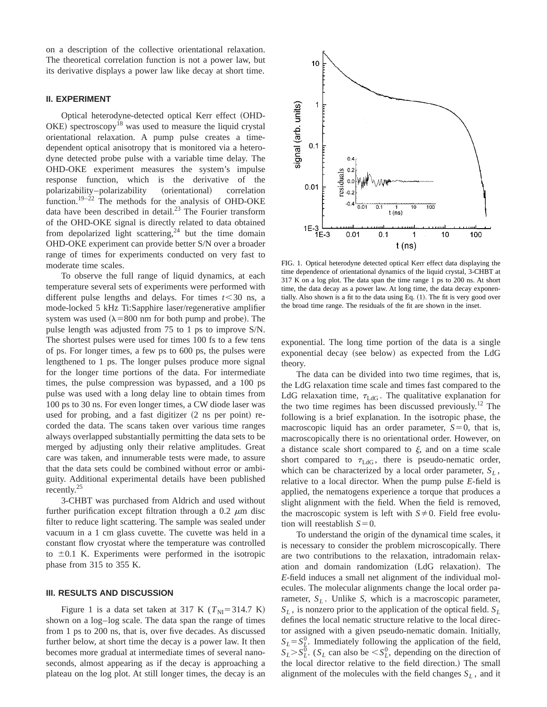on a description of the collective orientational relaxation. The theoretical correlation function is not a power law, but its derivative displays a power law like decay at short time.

# **II. EXPERIMENT**

Optical heterodyne-detected optical Kerr effect (OHD- $OKE$ ) spectroscopy<sup>18</sup> was used to measure the liquid crystal orientational relaxation. A pump pulse creates a timedependent optical anisotropy that is monitored via a heterodyne detected probe pulse with a variable time delay. The OHD-OKE experiment measures the system's impulse response function, which is the derivative of the polarizability-polarizability (orientational) correlation function.<sup>19–22</sup> The methods for the analysis of OHD-OKE data have been described in detail. $^{23}$  The Fourier transform of the OHD-OKE signal is directly related to data obtained from depolarized light scattering, $24$  but the time domain OHD-OKE experiment can provide better S/N over a broader range of times for experiments conducted on very fast to moderate time scales.

To observe the full range of liquid dynamics, at each temperature several sets of experiments were performed with different pulse lengths and delays. For times  $t < 30$  ns, a mode-locked 5 kHz Ti:Sapphire laser/regenerative amplifier system was used  $(\lambda = 800 \text{ nm}$  for both pump and probe). The pulse length was adjusted from 75 to 1 ps to improve S/N. The shortest pulses were used for times 100 fs to a few tens of ps. For longer times, a few ps to 600 ps, the pulses were lengthened to 1 ps. The longer pulses produce more signal for the longer time portions of the data. For intermediate times, the pulse compression was bypassed, and a 100 ps pulse was used with a long delay line to obtain times from 100 ps to 30 ns. For even longer times, a CW diode laser was used for probing, and a fast digitizer  $(2 \text{ ns per point})$  recorded the data. The scans taken over various time ranges always overlapped substantially permitting the data sets to be merged by adjusting only their relative amplitudes. Great care was taken, and innumerable tests were made, to assure that the data sets could be combined without error or ambiguity. Additional experimental details have been published recently.<sup>25</sup>

3-CHBT was purchased from Aldrich and used without further purification except filtration through a 0.2  $\mu$ m disc filter to reduce light scattering. The sample was sealed under vacuum in a 1 cm glass cuvette. The cuvette was held in a constant flow cryostat where the temperature was controlled to  $\pm 0.1$  K. Experiments were performed in the isotropic phase from 315 to 355 K.

## **III. RESULTS AND DISCUSSION**

Figure 1 is a data set taken at 317 K ( $T_{\text{NI}}$ =314.7 K) shown on a log–log scale. The data span the range of times from 1 ps to 200 ns, that is, over five decades. As discussed further below, at short time the decay is a power law. It then becomes more gradual at intermediate times of several nanoseconds, almost appearing as if the decay is approaching a plateau on the log plot. At still longer times, the decay is an



FIG. 1. Optical heterodyne detected optical Kerr effect data displaying the time dependence of orientational dynamics of the liquid crystal, 3-CHBT at 317 K on a log plot. The data span the time range 1 ps to 200 ns. At short time, the data decay as a power law. At long time, the data decay exponentially. Also shown is a fit to the data using Eq.  $(1)$ . The fit is very good over the broad time range. The residuals of the fit are shown in the inset.

exponential. The long time portion of the data is a single exponential decay (see below) as expected from the LdG theory.

The data can be divided into two time regimes, that is, the LdG relaxation time scale and times fast compared to the LdG relaxation time,  $\tau_{\text{LdG}}$ . The qualitative explanation for the two time regimes has been discussed previously.<sup>12</sup> The following is a brief explanation. In the isotropic phase, the macroscopic liquid has an order parameter,  $S=0$ , that is, macroscopically there is no orientational order. However, on a distance scale short compared to  $\xi$ , and on a time scale short compared to  $\tau_{\text{LdG}}$ , there is pseudo-nematic order, which can be characterized by a local order parameter,  $S_L$ , relative to a local director. When the pump pulse *E*-field is applied, the nematogens experience a torque that produces a slight alignment with the field. When the field is removed, the macroscopic system is left with  $S\neq 0$ . Field free evolution will reestablish  $S=0$ .

To understand the origin of the dynamical time scales, it is necessary to consider the problem microscopically. There are two contributions to the relaxation, intradomain relaxation and domain randomization (LdG relaxation). The *E*-field induces a small net alignment of the individual molecules. The molecular alignments change the local order parameter,  $S_L$ . Unlike *S*, which is a macroscopic parameter,  $S_L$ , is nonzero prior to the application of the optical field.  $S_L$ defines the local nematic structure relative to the local director assigned with a given pseudo-nematic domain. Initially,  $S_L = S_L^0$ . Immediately following the application of the field,  $S_L > S_L^0$ . (*S<sub>L</sub>* can also be  $\lt S_L^0$ , depending on the direction of the local director relative to the field direction.) The small alignment of the molecules with the field changes  $S_L$ , and it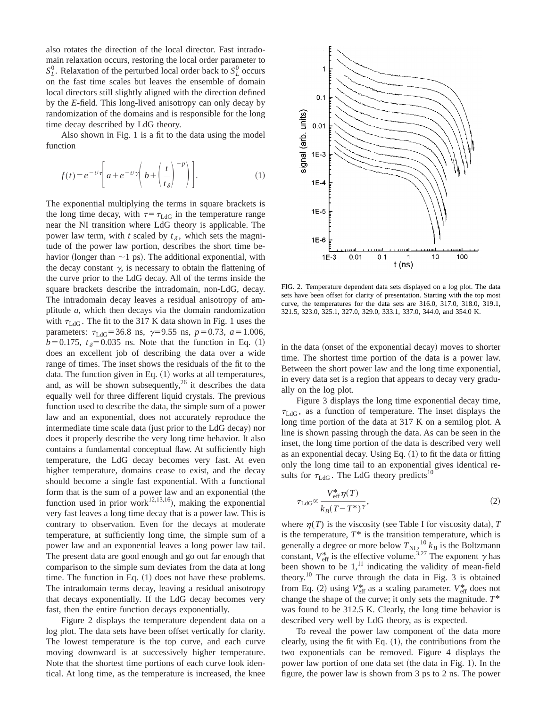also rotates the direction of the local director. Fast intradomain relaxation occurs, restoring the local order parameter to  $S_L^0$ . Relaxation of the perturbed local order back to  $S_L^0$  occurs on the fast time scales but leaves the ensemble of domain local directors still slightly aligned with the direction defined by the *E*-field. This long-lived anisotropy can only decay by randomization of the domains and is responsible for the long time decay described by LdG theory.

Also shown in Fig. 1 is a fit to the data using the model function

$$
f(t) = e^{-t/\tau} \left[ a + e^{-t/\gamma} \left( b + \left( \frac{t}{t_{\delta}} \right)^{-p} \right) \right].
$$
 (1)

The exponential multiplying the terms in square brackets is the long time decay, with  $\tau = \tau_{\text{LdG}}$  in the temperature range near the NI transition where LdG theory is applicable. The power law term, with *t* scaled by  $t_\delta$ , which sets the magnitude of the power law portion, describes the short time behavior (longer than  $\sim$ 1 ps). The additional exponential, with the decay constant  $\gamma$ , is necessary to obtain the flattening of the curve prior to the LdG decay. All of the terms inside the square brackets describe the intradomain, non-LdG, decay. The intradomain decay leaves a residual anisotropy of amplitude *a*, which then decays via the domain randomization with  $\tau_{\text{LdG}}$ . The fit to the 317 K data shown in Fig. 1 uses the parameters:  $\tau_{\text{LdG}}$ =36.8 ns,  $\gamma$ =9.55 ns,  $p=0.73$ ,  $a=1.006$ ,  $b=0.175$ ,  $t_{\delta}=0.035$  ns. Note that the function in Eq. (1) does an excellent job of describing the data over a wide range of times. The inset shows the residuals of the fit to the data. The function given in Eq.  $(1)$  works at all temperatures, and, as will be shown subsequently,  $2<sup>6</sup>$  it describes the data equally well for three different liquid crystals. The previous function used to describe the data, the simple sum of a power law and an exponential, does not accurately reproduce the intermediate time scale data (just prior to the LdG decay) nor does it properly describe the very long time behavior. It also contains a fundamental conceptual flaw. At sufficiently high temperature, the LdG decay becomes very fast. At even higher temperature, domains cease to exist, and the decay should become a single fast exponential. With a functional form that is the sum of a power law and an exponential (the function used in prior work<sup>12,13,16</sup>), making the exponential very fast leaves a long time decay that is a power law. This is contrary to observation. Even for the decays at moderate temperature, at sufficiently long time, the simple sum of a power law and an exponential leaves a long power law tail. The present data are good enough and go out far enough that comparison to the simple sum deviates from the data at long time. The function in Eq.  $(1)$  does not have these problems. The intradomain terms decay, leaving a residual anisotropy that decays exponentially. If the LdG decay becomes very fast, then the entire function decays exponentially.

Figure 2 displays the temperature dependent data on a log plot. The data sets have been offset vertically for clarity. The lowest temperature is the top curve, and each curve moving downward is at successively higher temperature. Note that the shortest time portions of each curve look identical. At long time, as the temperature is increased, the knee



FIG. 2. Temperature dependent data sets displayed on a log plot. The data sets have been offset for clarity of presentation. Starting with the top most curve, the temperatures for the data sets are 316.0, 317.0, 318.0, 319.1, 321.5, 323.0, 325.1, 327.0, 329.0, 333.1, 337.0, 344.0, and 354.0 K.

in the data (onset of the exponential decay) moves to shorter time. The shortest time portion of the data is a power law. Between the short power law and the long time exponential, in every data set is a region that appears to decay very gradually on the log plot.

Figure 3 displays the long time exponential decay time,  $\tau_{\text{LdG}}$ , as a function of temperature. The inset displays the long time portion of the data at 317 K on a semilog plot. A line is shown passing through the data. As can be seen in the inset, the long time portion of the data is described very well as an exponential decay. Using Eq.  $(1)$  to fit the data or fitting only the long time tail to an exponential gives identical results for  $\tau_{\text{LdG}}$ . The LdG theory predicts<sup>10</sup>

$$
\tau_{\text{LdG}} \propto \frac{V_{\text{eff}}^* \eta(T)}{k_B (T - T^*)^{\gamma}},\tag{2}
$$

where  $\eta(T)$  is the viscosity (see Table I for viscosity data), *T* is the temperature,  $T^*$  is the transition temperature, which is generally a degree or more below  $T_{\text{NI}}$ ,  $^{10}_{k}$  *k<sub>B</sub>* is the Boltzmann constant,  $V_{\text{eff}}^*$  is the effective volume.<sup>3,27</sup> The exponent  $\gamma$  has been shown to be  $1$ ,<sup>11</sup> indicating the validity of mean-field theory.<sup>10</sup> The curve through the data in Fig. 3 is obtained from Eq. (2) using  $V_{\text{eff}}^*$  as a scaling parameter.  $V_{\text{eff}}^*$  does not change the shape of the curve; it only sets the magnitude. *T*\* was found to be 312.5 K. Clearly, the long time behavior is described very well by LdG theory, as is expected.

To reveal the power law component of the data more clearly, using the fit with Eq.  $(1)$ , the contributions from the two exponentials can be removed. Figure 4 displays the power law portion of one data set (the data in Fig. 1). In the figure, the power law is shown from 3 ps to 2 ns. The power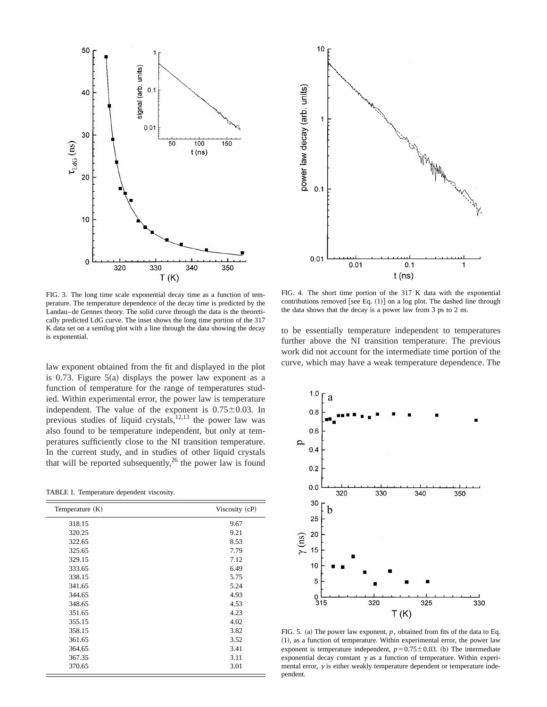



law exponent obtained from the fit and displayed in the plot is 0.73. Figure  $5(a)$  displays the power law exponent as a function of temperature for the range of temperatures studied. Within experimental error, the power law is temperature independent. The value of the exponent is  $0.75 \pm 0.03$ . In previous studies of liquid crystals, $^{12,13}$  the power law was also found to be temperature independent, but only at temperatures sufficiently close to the NI transition temperature. In the current study, and in studies of other liquid crystals that will be reported subsequently,<sup>26</sup> the power law is found

TABLE I. Temperature dependent viscosity.

| Temperature $(K)$ | Viscosity (cP) |
|-------------------|----------------|
| 318.15            | 9.67           |
| 320.25            | 9.21           |
| 322.65            | 8.53           |
| 325.65            | 7.79           |
| 329.15            | 7.12           |
| 333.65            | 6.49           |
| 338.15            | 5.75           |
| 341.65            | 5.24           |
| 344.65            | 4.93           |
| 348.65            | 4.53           |
| 351.65            | 4.23           |
| 355.15            | 4.02           |
| 358.15            | 3.82           |
| 361.65            | 3.52           |
| 364.65            | 3.41           |
| 367.35            | 3.11           |
| 370.65            | 3.01           |



FIG. 4. The short time portion of the 317 K data with the exponential contributions removed [see Eq.  $(1)$ ] on a log plot. The dashed line through the data shows that the decay is a power law from 3 ps to 2 ns.

to be essentially temperature independent to temperatures further above the NI transition temperature. The previous work did not account for the intermediate time portion of the curve, which may have a weak temperature dependence. The



FIG. 5. (a) The power law exponent,  $p$ , obtained from fits of the data to Eq.  $(1)$ , as a function of temperature. Within experimental error, the power law exponent is temperature independent,  $p=0.75\pm0.03$ . (b) The intermediate exponential decay constant  $\gamma$  as a function of temperature. Within experimental error,  $\gamma$  is either weakly temperature dependent or temperature independent.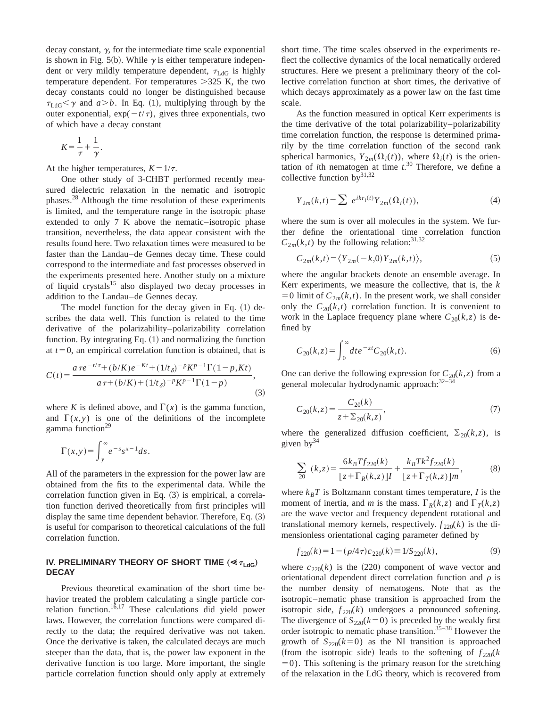decay constant,  $\gamma$ , for the intermediate time scale exponential is shown in Fig. 5(b). While  $\gamma$  is either temperature independent or very mildly temperature dependent,  $\tau_{\text{LdG}}$  is highly temperature dependent. For temperatures  $>325$  K, the two decay constants could no longer be distinguished because  $\tau_{\text{LdG}}$  and  $a$  *a*... In Eq. (1), multiplying through by the outer exponential,  $exp(-t/\tau)$ , gives three exponentials, two of which have a decay constant

$$
K = \frac{1}{\tau} + \frac{1}{\gamma}.
$$

At the higher temperatures,  $K=1/\tau$ .

One other study of 3-CHBT performed recently measured dielectric relaxation in the nematic and isotropic phases.28 Although the time resolution of these experiments is limited, and the temperature range in the isotropic phase extended to only 7 K above the nematic–isotropic phase transition, nevertheless, the data appear consistent with the results found here. Two relaxation times were measured to be faster than the Landau–de Gennes decay time. These could correspond to the intermediate and fast processes observed in the experiments presented here. Another study on a mixture of liquid crystals<sup>15</sup> also displayed two decay processes in addition to the Landau–de Gennes decay.

The model function for the decay given in Eq.  $(1)$  describes the data well. This function is related to the time derivative of the polarizability–polarizability correlation function. By integrating Eq.  $(1)$  and normalizing the function at  $t=0$ , an empirical correlation function is obtained, that is

$$
C(t) = \frac{a\,\tau e^{-t/\tau} + (b/K)e^{-Kt} + (1/t_\delta)^{-p}K^{p-1}\Gamma(1-p,Kt)}{a\,\tau + (b/K) + (1/t_\delta)^{-p}K^{p-1}\Gamma(1-p)},\tag{3}
$$

where *K* is defined above, and  $\Gamma(x)$  is the gamma function, and  $\Gamma(x, y)$  is one of the definitions of the incomplete gamma function $29$ 

$$
\Gamma(x,y) = \int_{y}^{\infty} e^{-s} s^{x-1} ds.
$$

All of the parameters in the expression for the power law are obtained from the fits to the experimental data. While the correlation function given in Eq.  $(3)$  is empirical, a correlation function derived theoretically from first principles will display the same time dependent behavior. Therefore, Eq.  $(3)$ is useful for comparison to theoretical calculations of the full correlation function.

# **IV. PRELIMINARY THEORY OF SHORT TIME**  $(\ll_{\tau_{\text{Ldg}}})$ **DECAY**

Previous theoretical examination of the short time behavior treated the problem calculating a single particle correlation function.<sup>16,17</sup> These calculations did yield power laws. However, the correlation functions were compared directly to the data; the required derivative was not taken. Once the derivative is taken, the calculated decays are much steeper than the data, that is, the power law exponent in the derivative function is too large. More important, the single particle correlation function should only apply at extremely short time. The time scales observed in the experiments reflect the collective dynamics of the local nematically ordered structures. Here we present a preliminary theory of the collective correlation function at short times, the derivative of which decays approximately as a power law on the fast time scale.

As the function measured in optical Kerr experiments is the time derivative of the total polarizability–polarizability time correlation function, the response is determined primarily by the time correlation function of the second rank spherical harmonics,  $Y_{2m}(\Omega_i(t))$ , where  $\Omega_i(t)$  is the orientation of *i*th nematogen at time  $t$ <sup>30</sup> Therefore, we define a collective function by  $31,32$ 

$$
Y_{2m}(k,t) = \sum e^{ikr_i(t)} Y_{2m}(\Omega_i(t)),
$$
\n(4)

where the sum is over all molecules in the system. We further define the orientational time correlation function  $C_{2m}(k,t)$  by the following relation:<sup>31,32</sup>

$$
C_{2m}(k,t) = \langle Y_{2m}(-k,0)Y_{2m}(k,t) \rangle, \tag{5}
$$

where the angular brackets denote an ensemble average. In Kerr experiments, we measure the collective, that is, the *k*  $=0$  limit of  $C_{2m}(k,t)$ . In the present work, we shall consider only the  $C_{20}(k,t)$  correlation function. It is convenient to work in the Laplace frequency plane where  $C_{20}(k, z)$  is defined by

$$
C_{20}(k,z) = \int_0^\infty dt \, e^{-zt} C_{20}(k,t). \tag{6}
$$

One can derive the following expression for  $C_{20}(k, z)$  from a general molecular hydrodynamic approach:<sup>32-34</sup>

$$
C_{20}(k, z) = \frac{C_{20}(k)}{z + \sum_{20}(k, z)},
$$
\n(7)

where the generalized diffusion coefficient,  $\Sigma_{20}(k, z)$ , is given  $bv^{34}$ 

$$
\sum_{20} (k, z) = \frac{6k_B T f_{220}(k)}{[z + \Gamma_R(k, z)]I} + \frac{k_B T k^2 f_{220}(k)}{[z + \Gamma_T(k, z)]m},
$$
(8)

where  $k_B T$  is Boltzmann constant times temperature, *I* is the moment of inertia, and *m* is the mass.  $\Gamma_R(k, z)$  and  $\Gamma_T(k, z)$ are the wave vector and frequency dependent rotational and translational memory kernels, respectively.  $f_{220}(k)$  is the dimensionless orientational caging parameter defined by

$$
f_{220}(k) = 1 - (\rho/4\tau)c_{220}(k) \equiv 1/S_{220}(k),\tag{9}
$$

where  $c_{220}(k)$  is the (220) component of wave vector and orientational dependent direct correlation function and  $\rho$  is the number density of nematogens. Note that as the isotropic–nematic phase transition is approached from the isotropic side,  $f_{220}(k)$  undergoes a pronounced softening. The divergence of  $S_{220}(k=0)$  is preceded by the weakly first order isotropic to nematic phase transition.<sup>35–38</sup> However the growth of  $S_{220}(k=0)$  as the NI transition is approached (from the isotropic side) leads to the softening of  $f_{220}(k)$  $=0$ ). This softening is the primary reason for the stretching of the relaxation in the LdG theory, which is recovered from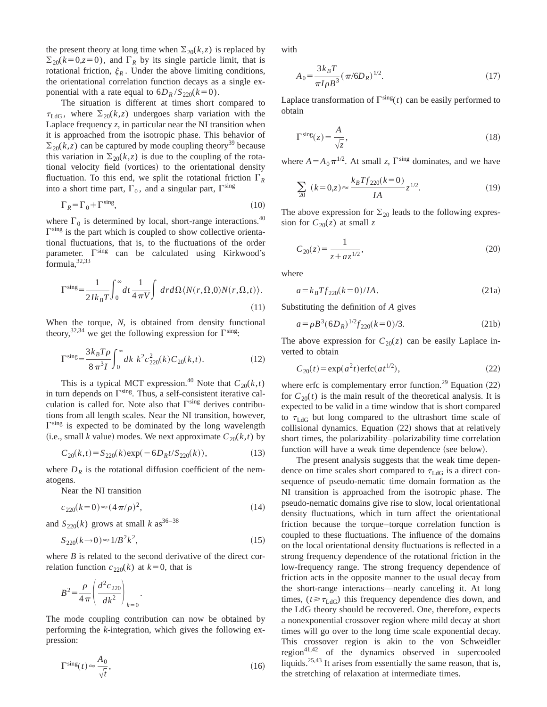the present theory at long time when  $\Sigma_{20}(k, z)$  is replaced by  $\Sigma_{20}(k=0, z=0)$ , and  $\Gamma_R$  by its single particle limit, that is rotational friction,  $\xi_R$ . Under the above limiting conditions, the orientational correlation function decays as a single exponential with a rate equal to  $6D_R/S_{220}(k=0)$ .

The situation is different at times short compared to  $\tau_{\text{LdG}}$ , where  $\Sigma_{20}(k,z)$  undergoes sharp variation with the Laplace frequency  $z$ , in particular near the NI transition when it is approached from the isotropic phase. This behavior of  $\Sigma_{20}(k, z)$  can be captured by mode coupling theory<sup>39</sup> because this variation in  $\Sigma_{20}(k, z)$  is due to the coupling of the rotational velocity field (vortices) to the orientational density fluctuation. To this end, we split the rotational friction  $\Gamma_R$ into a short time part,  $\Gamma_0$ , and a singular part,  $\Gamma^{\text{sing}}$ 

$$
\Gamma_R = \Gamma_0 + \Gamma^{\text{sing}},\tag{10}
$$

where  $\Gamma_0$  is determined by local, short-range interactions.<sup>40</sup>  $\Gamma^{\text{sing}}$  is the part which is coupled to show collective orientational fluctuations, that is, to the fluctuations of the order parameter.  $\Gamma^{\text{sing}}$  can be calculated using Kirkwood's formula, 32,33

$$
\Gamma^{\text{sing}} = \frac{1}{2Ik_BT} \int_0^\infty dt \frac{1}{4\pi V} \int dr d\Omega \langle N(r, \Omega, 0)N(r, \Omega, t) \rangle.
$$
\n(11)

When the torque, *N*, is obtained from density functional theory,  $32,34$  we get the following expression for  $\Gamma^{\text{sing}}$ .

$$
\Gamma^{\rm sing} = \frac{3k_B T \rho}{8\pi^3 I} \int_0^\infty dk \ k^2 c_{220}^2(k) C_{20}(k, t). \tag{12}
$$

This is a typical MCT expression.<sup>40</sup> Note that  $C_{20}(k,t)$ in turn depends on  $\Gamma^{\text{sing}}$ . Thus, a self-consistent iterative calculation is called for. Note also that  $\Gamma^{\text{sing}}$  derives contributions from all length scales. Near the NI transition, however,  $\Gamma^{\text{sing}}$  is expected to be dominated by the long wavelength (i.e., small *k* value) modes. We next approximate  $C_{20}(k,t)$  by

$$
C_{20}(k,t) = S_{220}(k) \exp(-6D_R t / S_{220}(k)),
$$
\n(13)

where  $D_R$  is the rotational diffusion coefficient of the nematogens.

Near the NI transition

$$
c_{220}(k=0) \approx (4\pi/\rho)^2,\tag{14}
$$

and  $S_{220}(k)$  grows at small *k* as<sup>36–38</sup>

$$
S_{220}(k \to 0) \approx 1/B^2 k^2, \tag{15}
$$

where *B* is related to the second derivative of the direct correlation function  $c_{220}(k)$  at  $k=0$ , that is

.

$$
B^2 = \frac{\rho}{4\pi} \left( \frac{d^2 c_{220}}{dk^2} \right)_{k=0}
$$

The mode coupling contribution can now be obtained by performing the *k*-integration, which gives the following expression:

$$
\Gamma^{\text{sing}}(t) \approx \frac{A_0}{\sqrt{t}},\tag{16}
$$

with

$$
A_0 = \frac{3k_B T}{\pi I \rho B^3} (\pi / 6D_R)^{1/2}.
$$
 (17)

Laplace transformation of  $\Gamma^{\text{sing}}(t)$  can be easily performed to obtain

$$
\Gamma^{\text{sing}}(z) = \frac{A}{\sqrt{z}},\tag{18}
$$

where  $A = A_0 \pi^{1/2}$ . At small *z*,  $\Gamma^{\text{sing}}$  dominates, and we have

$$
\sum_{20} (k=0,z) \approx \frac{k_B T f_{220}(k=0)}{IA} z^{1/2}.
$$
 (19)

The above expression for  $\Sigma_{20}$  leads to the following expression for  $C_{20}(z)$  at small z

$$
C_{20}(z) = \frac{1}{z + az^{1/2}},\tag{20}
$$

where

$$
a = k_B T f_{220}(k=0)/IA.
$$
 (21a)

Substituting the definition of *A* gives

$$
a = \rho B^3 (6D_R)^{1/2} f_{220}(k=0)/3.
$$
 (21b)

The above expression for  $C_{20}(z)$  can be easily Laplace inverted to obtain

$$
C_{20}(t) = \exp(a^2t)\operatorname{erfc}(at^{1/2}),\tag{22}
$$

where erfc is complementary error function.<sup>29</sup> Equation  $(22)$ for  $C_{20}(t)$  is the main result of the theoretical analysis. It is expected to be valid in a time window that is short compared to  $\tau_{\text{LdG}}$  but long compared to the ultrashort time scale of collisional dynamics. Equation  $(22)$  shows that at relatively short times, the polarizability–polarizability time correlation function will have a weak time dependence (see below).

The present analysis suggests that the weak time dependence on time scales short compared to  $\tau_{\text{LdG}}$  is a direct consequence of pseudo-nematic time domain formation as the NI transition is approached from the isotropic phase. The pseudo-nematic domains give rise to slow, local orientational density fluctuations, which in turn affect the orientational friction because the torque–torque correlation function is coupled to these fluctuations. The influence of the domains on the local orientational density fluctuations is reflected in a strong frequency dependence of the rotational friction in the low-frequency range. The strong frequency dependence of friction acts in the opposite manner to the usual decay from the short-range interactions—nearly canceling it. At long times, ( $t \geq \tau_{\text{LdG}}$ ) this frequency dependence dies down, and the LdG theory should be recovered. One, therefore, expects a nonexponential crossover region where mild decay at short times will go over to the long time scale exponential decay. This crossover region is akin to the von Schweidler  $region<sup>41,42</sup>$  of the dynamics observed in supercooled liquids.25,43 It arises from essentially the same reason, that is, the stretching of relaxation at intermediate times.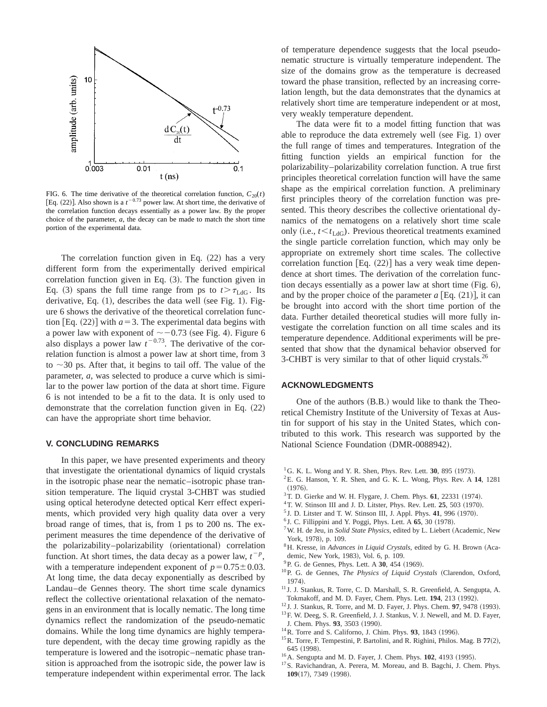

FIG. 6. The time derivative of the theoretical correlation function,  $C_{20}(t)$ [Eq.  $(22)$ ]. Also shown is a  $t^{-0.73}$  power law. At short time, the derivative of the correlation function decays essentially as a power law. By the proper choice of the parameter, *a*, the decay can be made to match the short time portion of the experimental data.

The correlation function given in Eq.  $(22)$  has a very different form from the experimentally derived empirical correlation function given in Eq.  $(3)$ . The function given in Eq. (3) spans the full time range from ps to  $t > \tau_{LdG}$ . Its derivative, Eq.  $(1)$ , describes the data well (see Fig. 1). Figure 6 shows the derivative of the theoretical correlation function [Eq.  $(22)$ ] with  $a=3$ . The experimental data begins with a power law with exponent of  $\sim$  -0.73 (see Fig. 4). Figure 6 also displays a power law  $t^{-0.73}$ . The derivative of the correlation function is almost a power law at short time, from 3 to  $\sim$ 30 ps. After that, it begins to tail off. The value of the parameter, *a*, was selected to produce a curve which is similar to the power law portion of the data at short time. Figure 6 is not intended to be a fit to the data. It is only used to demonstrate that the correlation function given in Eq.  $(22)$ can have the appropriate short time behavior.

#### **V. CONCLUDING REMARKS**

In this paper, we have presented experiments and theory that investigate the orientational dynamics of liquid crystals in the isotropic phase near the nematic–isotropic phase transition temperature. The liquid crystal 3-CHBT was studied using optical heterodyne detected optical Kerr effect experiments, which provided very high quality data over a very broad range of times, that is, from 1 ps to 200 ns. The experiment measures the time dependence of the derivative of the polarizability–polarizability (orientational) correlation function. At short times, the data decay as a power law,  $t^{-p}$ , with a temperature independent exponent of  $p=0.75\pm0.03$ . At long time, the data decay exponentially as described by Landau–de Gennes theory. The short time scale dynamics reflect the collective orientational relaxation of the nematogens in an environment that is locally nematic. The long time dynamics reflect the randomization of the pseudo-nematic domains. While the long time dynamics are highly temperature dependent, with the decay time growing rapidly as the temperature is lowered and the isotropic–nematic phase transition is approached from the isotropic side, the power law is temperature independent within experimental error. The lack of temperature dependence suggests that the local pseudonematic structure is virtually temperature independent. The size of the domains grow as the temperature is decreased toward the phase transition, reflected by an increasing correlation length, but the data demonstrates that the dynamics at relatively short time are temperature independent or at most, very weakly temperature dependent.

The data were fit to a model fitting function that was able to reproduce the data extremely well (see Fig. 1) over the full range of times and temperatures. Integration of the fitting function yields an empirical function for the polarizability–polarizability correlation function. A true first principles theoretical correlation function will have the same shape as the empirical correlation function. A preliminary first principles theory of the correlation function was presented. This theory describes the collective orientational dynamics of the nematogens on a relatively short time scale only (i.e.,  $t \le t_{LdG}$ ). Previous theoretical treatments examined the single particle correlation function, which may only be appropriate on extremely short time scales. The collective correlation function  $[Eq. (22)]$  has a very weak time dependence at short times. The derivation of the correlation function decays essentially as a power law at short time  $(Fig. 6)$ , and by the proper choice of the parameter  $a$  [Eq.  $(21)$ ], it can be brought into accord with the short time portion of the data. Further detailed theoretical studies will more fully investigate the correlation function on all time scales and its temperature dependence. Additional experiments will be presented that show that the dynamical behavior observed for 3-CHBT is very similar to that of other liquid crystals.<sup>26</sup>

## **ACKNOWLEDGMENTS**

One of the authors  $(B.B.)$  would like to thank the Theoretical Chemistry Institute of the University of Texas at Austin for support of his stay in the United States, which contributed to this work. This research was supported by the National Science Foundation (DMR-0088942).

- ${}^{1}$  G. K. L. Wong and Y. R. Shen, Phys. Rev. Lett. **30**, 895 (1973).
- 2E. G. Hanson, Y. R. Shen, and G. K. L. Wong, Phys. Rev. A **14**, 1281  $(1976).$
- $3$ T. D. Gierke and W. H. Flygare, J. Chem. Phys.  $61$ , 22331 (1974).
- <sup>4</sup>T. W. Stinson III and J. D. Litster, Phys. Rev. Lett. **25**, 503 (1970).
- $5$  J. D. Litster and T. W. Stinson III, J. Appl. Phys. 41, 996 (1970).
- $6$  J. C. Fillippini and Y. Poggi, Phys. Lett. A  $65$ , 30 (1978).
- <sup>7</sup> W. H. de Jeu, in *Solid State Physics*, edited by L. Liebert (Academic, New York, 1978), p. 109.
- <sup>8</sup>H. Kresse, in *Advances in Liquid Crystals*, edited by G. H. Brown (Academic, New York, 1983), Vol. 6, p. 109.
- <sup>9</sup> P. G. de Gennes, Phys. Lett. A 30, 454 (1969).
- <sup>10</sup>P. G. de Gennes, *The Physics of Liquid Crystals* (Clarendon, Oxford, 1974).
- <sup>11</sup> J. J. Stankus, R. Torre, C. D. Marshall, S. R. Greenfield, A. Sengupta, A. Tokmakoff, and M. D. Fayer, Chem. Phys. Lett. **194**, 213 (1992).
- $12$  J. J. Stankus, R. Torre, and M. D. Fayer, J. Phys. Chem. **97**, 9478 (1993).
- <sup>13</sup> F. W. Deeg, S. R. Greenfield, J. J. Stankus, V. J. Newell, and M. D. Fayer, J. Chem. Phys. 93, 3503 (1990).
- <sup>14</sup>R. Torre and S. Californo, J. Chim. Phys. **93**, 1843 (1996).
- <sup>15</sup>R. Torre, F. Tempestini, P. Bartolini, and R. Righini, Philos. Mag. B 77(2), 645 (1998).
- <sup>16</sup>A. Sengupta and M. D. Fayer, J. Chem. Phys. **102**, 4193 (1995).
- <sup>17</sup>S. Ravichandran, A. Perera, M. Moreau, and B. Bagchi, J. Chem. Phys. **109**(17), 7349 (1998).